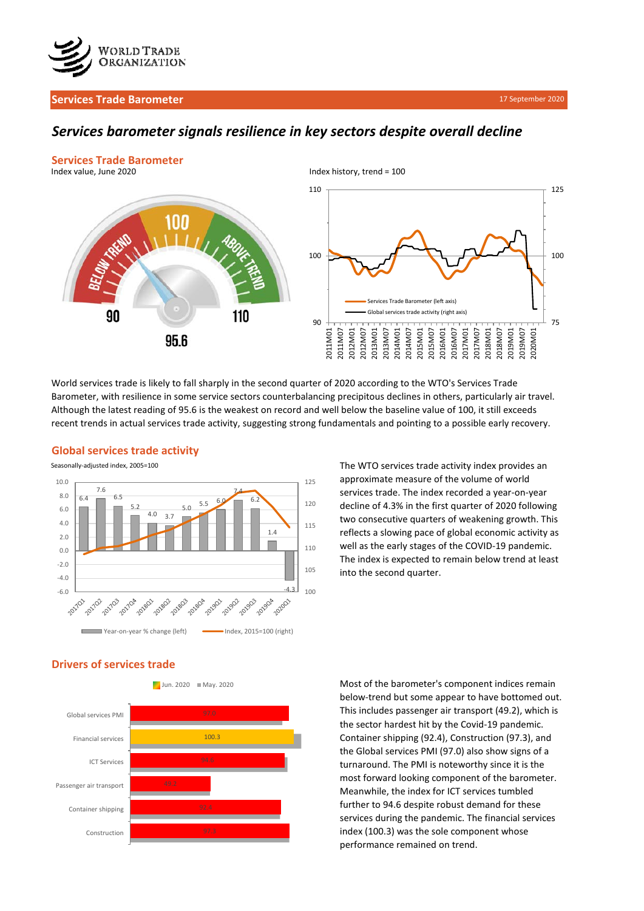

## **Services Trade Barometer**

# *Services barometer signals resilience in key sectors despite overall decline*



World services trade is likely to fall sharply in the second quarter of 2020 according to the WTO's Services Trade Barometer, with resilience in some service sectors counterbalancing precipitous declines in others, particularly air travel. Although the latest reading of 95.6 is the weakest on record and well below the baseline value of 100, it still exceeds recent trends in actual services trade activity, suggesting strong fundamentals and pointing to a possible early recovery.

### Seasonally-adjusted index, 2005=100 10.0 125 7.6 7.4 8.0 6.4 6.5 6.2 120  $5.0$  5.5 5.2 6.0  $4.0 \quad 3.7$ 4.0 115 1.4 2.0 110 0.0 -2.0 105 -4.0  $-4.3$   $100$  $-6.0$   $-6.0$ 201703 2017/04 101802 1-201803 20180A 201901 101902 201903 23 201904 201801 Year-on-year % change (left) Index, 2015=100 (right)

The WTO services trade activity index provides an approximate measure of the volume of world services trade. The index recorded a year-on-year decline of 4.3% in the first quarter of 2020 following two consecutive quarters of weakening growth. This reflects a slowing pace of global economic activity as well as the early stages of the COVID-19 pandemic. The index is expected to remain below trend at least into the second quarter.

# **Drivers of services trade**

**Global services trade activity**





Most of the barometer's component indices remain below-trend but some appear to have bottomed out. This includes passenger air transport (49.2), which is the sector hardest hit by the Covid-19 pandemic. Container shipping (92.4), Construction (97.3), and the Global services PMI (97.0) also show signs of a turnaround. The PMI is noteworthy since it is the most forward looking component of the barometer. Meanwhile, the index for ICT services tumbled further to 94.6 despite robust demand for these services during the pandemic. The financial services index (100.3) was the sole component whose performance remained on trend.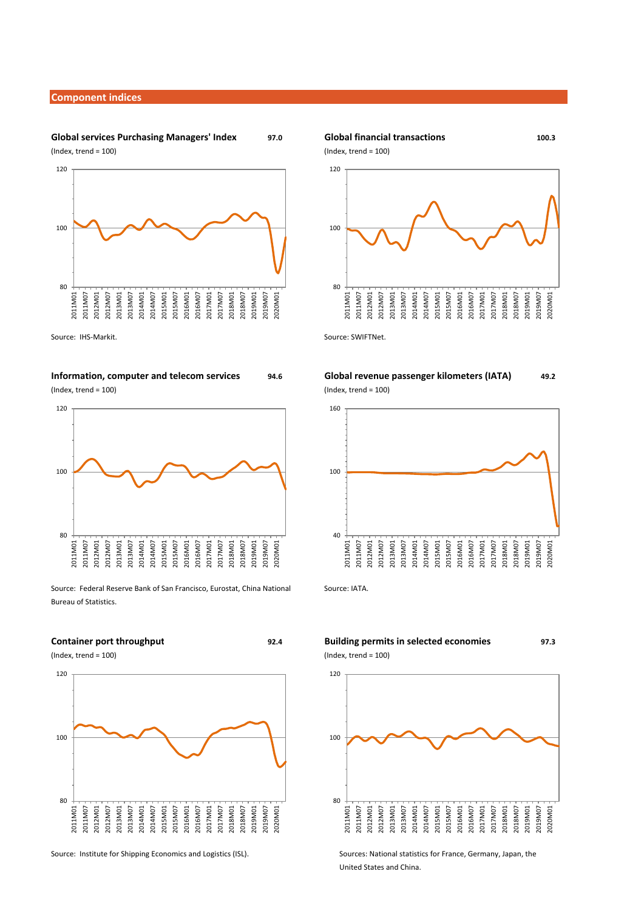### **Component indices**

## **Global services Purchasing Managers' Index** 97.0  $(Index, trend = 100)$   $(Index, trend = 100)$



Source: IHS-Markit. Source: SWIFTNet.

### **Information, computer and telecom services Global revenue passenger kilometers (IATA) 94.6**

(Index, trend = 100) (Index, trend = 100)



Source: Federal Reserve Bank of San Francisco, Eurostat, China National Source: IATA. Bureau of Statistics.



### Global financial transactions **100.3**



# **49.2**



## **Container port throughput Building permits in selected economies 92.4 97.3**  $(Index, trend = 100)$  (Index, trend = 100)



Source: Institute for Shipping Economics and Logistics (ISL). Sources: National statistics for France, Germany, Japan, the United States and China.